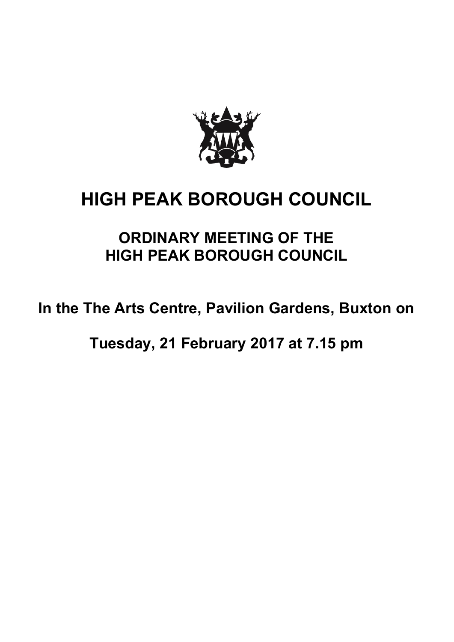

## **HIGH PEAK BOROUGH COUNCIL**

## **ORDINARY MEETING OF THE HIGH PEAK BOROUGH COUNCIL**

**In the The Arts Centre, Pavilion Gardens, Buxton on**

**Tuesday, 21 February 2017 at 7.15 pm**